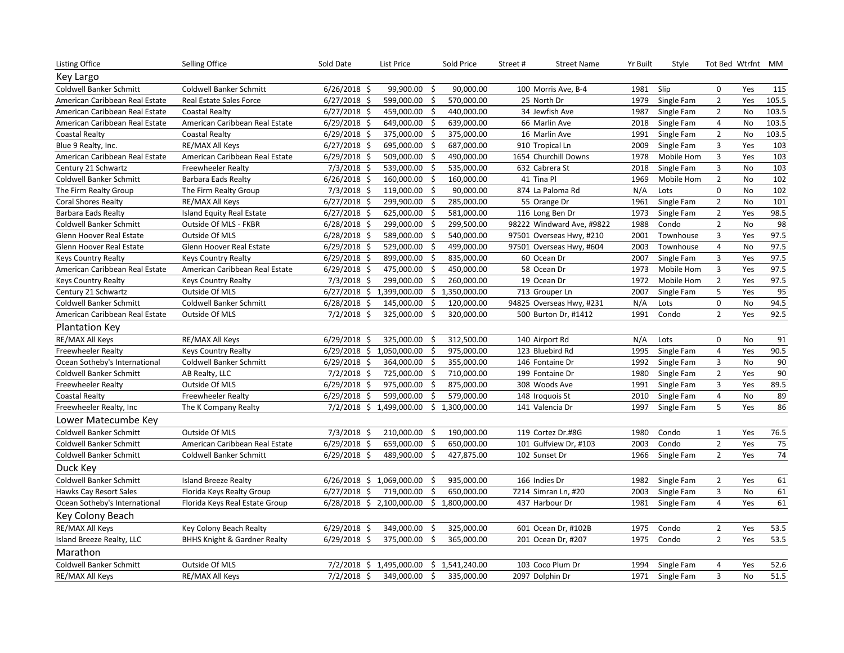| Listing Office                 | Selling Office                          | Sold Date      | List Price                  |      | Sold Price     | Street#<br><b>Street Name</b> | Yr Built | Style      | Tot Bed Wtrfnt MM |           |       |
|--------------------------------|-----------------------------------------|----------------|-----------------------------|------|----------------|-------------------------------|----------|------------|-------------------|-----------|-------|
| Key Largo                      |                                         |                |                             |      |                |                               |          |            |                   |           |       |
| <b>Coldwell Banker Schmitt</b> | Coldwell Banker Schmitt                 | $6/26/2018$ \$ | 99,900.00                   | - \$ | 90,000.00      | 100 Morris Ave, B-4           | 1981     | Slip       | 0                 | Yes       | 115   |
| American Caribbean Real Estate | Real Estate Sales Force                 | $6/27/2018$ \$ | 599,000.00 \$               |      | 570,000.00     | 25 North Dr                   | 1979     | Single Fam | $\overline{2}$    | Yes       | 105.5 |
| American Caribbean Real Estate | <b>Coastal Realty</b>                   | $6/27/2018$ \$ | 459,000.00 \$               |      | 440,000.00     | 34 Jewfish Ave                | 1987     | Single Fam | $\overline{2}$    | No        | 103.5 |
| American Caribbean Real Estate | American Caribbean Real Estate          | $6/29/2018$ \$ | 649,000.00 \$               |      | 639,000.00     | 66 Marlin Ave                 | 2018     | Single Fam | 4                 | No        | 103.5 |
| <b>Coastal Realty</b>          | <b>Coastal Realty</b>                   | $6/29/2018$ \$ | 375,000.00                  | Ŝ.   | 375,000.00     | 16 Marlin Ave                 | 1991     | Single Fam | $\overline{2}$    | No        | 103.5 |
| Blue 9 Realty, Inc.            | RE/MAX All Keys                         | $6/27/2018$ \$ | 695,000.00                  | -\$  | 687,000.00     | 910 Tropical Ln               | 2009     | Single Fam | 3                 | Yes       | 103   |
| American Caribbean Real Estate | American Caribbean Real Estate          | $6/29/2018$ \$ | 509,000.00                  | -\$  | 490,000.00     | 1654 Churchill Downs          | 1978     | Mobile Hom | 3                 | Yes       | 103   |
| Century 21 Schwartz            | <b>Freewheeler Realty</b>               | $7/3/2018$ \$  | 539,000.00                  | -\$  | 535,000.00     | 632 Cabrera St                | 2018     | Single Fam | 3                 | No        | 103   |
| Coldwell Banker Schmitt        | Barbara Eads Realty                     | $6/26/2018$ \$ | 160,000.00                  | -\$  | 160,000.00     | 41 Tina Pl                    | 1969     | Mobile Hom | $\overline{2}$    | No        | 102   |
| The Firm Realty Group          | The Firm Realty Group                   | $7/3/2018$ \$  | 119,000.00                  | -\$  | 90,000.00      | 874 La Paloma Rd              | N/A      | Lots       | $\pmb{0}$         | No        | 102   |
| <b>Coral Shores Realty</b>     | RE/MAX All Keys                         | $6/27/2018$ \$ | 299,900.00                  | -\$  | 285,000.00     | 55 Orange Dr                  | 1961     | Single Fam | $\mathbf 2$       | No        | 101   |
| Barbara Eads Realty            | Island Equity Real Estate               | $6/27/2018$ \$ | 625,000.00                  | -\$  | 581,000.00     | 116 Long Ben Dr               | 1973     | Single Fam | $\overline{2}$    | Yes       | 98.5  |
| Coldwell Banker Schmitt        | Outside Of MLS - FKBR                   | $6/28/2018$ \$ | 299,000.00                  | -\$  | 299,500.00     | 98222 Windward Ave, #9822     | 1988     | Condo      | $\overline{2}$    | No        | 98    |
| Glenn Hoover Real Estate       | Outside Of MLS                          | $6/28/2018$ \$ | 589,000.00                  | -\$  | 540,000.00     | 97501 Overseas Hwy, #210      | 2001     | Townhouse  | 3                 | Yes       | 97.5  |
| Glenn Hoover Real Estate       | Glenn Hoover Real Estate                | $6/29/2018$ \$ | 529,000.00                  | -\$  | 499,000.00     | 97501 Overseas Hwy, #604      | 2003     | Townhouse  | $\overline{4}$    | <b>No</b> | 97.5  |
| <b>Keys Country Realty</b>     | <b>Keys Country Realty</b>              | $6/29/2018$ \$ | 899,000.00 \$               |      | 835,000.00     | 60 Ocean Dr                   | 2007     | Single Fam | 3                 | Yes       | 97.5  |
| American Caribbean Real Estate | American Caribbean Real Estate          | $6/29/2018$ \$ | 475,000.00 \$               |      | 450,000.00     | 58 Ocean Dr                   | 1973     | Mobile Hom | 3                 | Yes       | 97.5  |
| <b>Keys Country Realty</b>     | <b>Keys Country Realty</b>              | $7/3/2018$ \$  | 299,000.00                  | -\$  | 260,000.00     | 19 Ocean Dr                   | 1972     | Mobile Hom | $\overline{2}$    | Yes       | 97.5  |
| Century 21 Schwartz            | Outside Of MLS                          | $6/27/2018$ \$ | 1,399,000.00                | \$   | 1,350,000.00   | 713 Grouper Ln                | 2007     | Single Fam | 5                 | Yes       | 95    |
| Coldwell Banker Schmitt        | Coldwell Banker Schmitt                 | $6/28/2018$ \$ | 145,000.00                  | \$   | 120,000.00     | 94825 Overseas Hwy, #231      | N/A      | Lots       | 0                 | No        | 94.5  |
| American Caribbean Real Estate | Outside Of MLS                          | $7/2/2018$ \$  | 325,000.00                  | -\$  | 320,000.00     | 500 Burton Dr, #1412          | 1991     | Condo      | $\overline{2}$    | Yes       | 92.5  |
| <b>Plantation Key</b>          |                                         |                |                             |      |                |                               |          |            |                   |           |       |
| RE/MAX All Keys                | RE/MAX All Keys                         | $6/29/2018$ \$ | 325,000.00                  | -\$  | 312,500.00     | 140 Airport Rd                | N/A      | Lots       | $\mathbf 0$       | No        | 91    |
| <b>Freewheeler Realty</b>      | <b>Keys Country Realty</b>              | $6/29/2018$ \$ | 1,050,000.00                | -\$  | 975,000.00     | 123 Bluebird Rd               | 1995     | Single Fam | $\overline{4}$    | Yes       | 90.5  |
| Ocean Sotheby's International  | Coldwell Banker Schmitt                 | $6/29/2018$ \$ | 364,000.00                  | -\$  | 355,000.00     | 146 Fontaine Dr               | 1992     | Single Fam | 3                 | No        | 90    |
| Coldwell Banker Schmitt        | AB Realty, LLC                          | $7/2/2018$ \$  | 725,000.00                  | -\$  | 710,000.00     | 199 Fontaine Dr               | 1980     | Single Fam | $\overline{2}$    | Yes       | 90    |
| <b>Freewheeler Realty</b>      | Outside Of MLS                          | $6/29/2018$ \$ | 975,000.00                  | -\$  | 875,000.00     | 308 Woods Ave                 | 1991     | Single Fam | 3                 | Yes       | 89.5  |
| <b>Coastal Realty</b>          | <b>Freewheeler Realty</b>               | $6/29/2018$ \$ | 599,000.00                  | - Ś  | 579,000.00     | 148 Iroquois St               | 2010     | Single Fam | $\overline{4}$    | No        | 89    |
| Freewheeler Realty, Inc        | The K Company Realty                    | 7/2/2018 \$    | 1,499,000.00                | \$   | 1,300,000.00   | 141 Valencia Dr               | 1997     | Single Fam | 5                 | Yes       | 86    |
| Lower Matecumbe Key            |                                         |                |                             |      |                |                               |          |            |                   |           |       |
| Coldwell Banker Schmitt        | Outside Of MLS                          | $7/3/2018$ \$  | 210,000.00                  | -\$  | 190,000.00     | 119 Cortez Dr.#8G             | 1980     | Condo      | 1                 | Yes       | 76.5  |
| Coldwell Banker Schmitt        | American Caribbean Real Estate          | $6/29/2018$ \$ | 659,000.00                  | - \$ | 650,000.00     | 101 Gulfview Dr, #103         | 2003     | Condo      | $\overline{2}$    | Yes       | 75    |
| Coldwell Banker Schmitt        | Coldwell Banker Schmitt                 | $6/29/2018$ \$ | 489,900.00                  | -\$  | 427,875.00     | 102 Sunset Dr                 | 1966     | Single Fam | $\overline{2}$    | Yes       | 74    |
| Duck Key                       |                                         |                |                             |      |                |                               |          |            |                   |           |       |
| Coldwell Banker Schmitt        | Island Breeze Realty                    |                | 6/26/2018 \$ 1,069,000.00   | -Ś   | 935,000.00     | 166 Indies Dr                 | 1982     | Single Fam | $\overline{2}$    | Yes       | 61    |
| Hawks Cay Resort Sales         | Florida Keys Realty Group               | $6/27/2018$ \$ | 719,000.00                  | \$   | 650,000.00     | 7214 Simran Ln, #20           | 2003     | Single Fam | 3                 | No        | 61    |
| Ocean Sotheby's International  | Florida Keys Real Estate Group          |                | $6/28/2018$ \$ 2,100,000.00 |      | \$1,800,000.00 | 437 Harbour Dr                | 1981     | Single Fam | $\overline{4}$    | Yes       | 61    |
| Key Colony Beach               |                                         |                |                             |      |                |                               |          |            |                   |           |       |
| RE/MAX All Keys                | Key Colony Beach Realty                 | $6/29/2018$ \$ | 349,000.00                  | -\$  | 325,000.00     | 601 Ocean Dr, #102B           | 1975     | Condo      | $\overline{2}$    | Yes       | 53.5  |
| Island Breeze Realty, LLC      | <b>BHHS Knight &amp; Gardner Realty</b> | $6/29/2018$ \$ | 375,000.00                  | -\$  | 365,000.00     | 201 Ocean Dr, #207            | 1975     | Condo      | $\overline{2}$    | Yes       | 53.5  |
| Marathon                       |                                         |                |                             |      |                |                               |          |            |                   |           |       |
| <b>Coldwell Banker Schmitt</b> | Outside Of MLS                          |                | 7/2/2018 \$ 1,495,000.00    |      | \$1,541,240.00 | 103 Coco Plum Dr              | 1994     | Single Fam | 4                 | Yes       | 52.6  |
| RE/MAX All Keys                | RE/MAX All Keys                         | 7/2/2018 \$    | 349,000.00                  | \$   | 335,000.00     | 2097 Dolphin Dr               | 1971     | Single Fam | 3                 | No        | 51.5  |
|                                |                                         |                |                             |      |                |                               |          |            |                   |           |       |